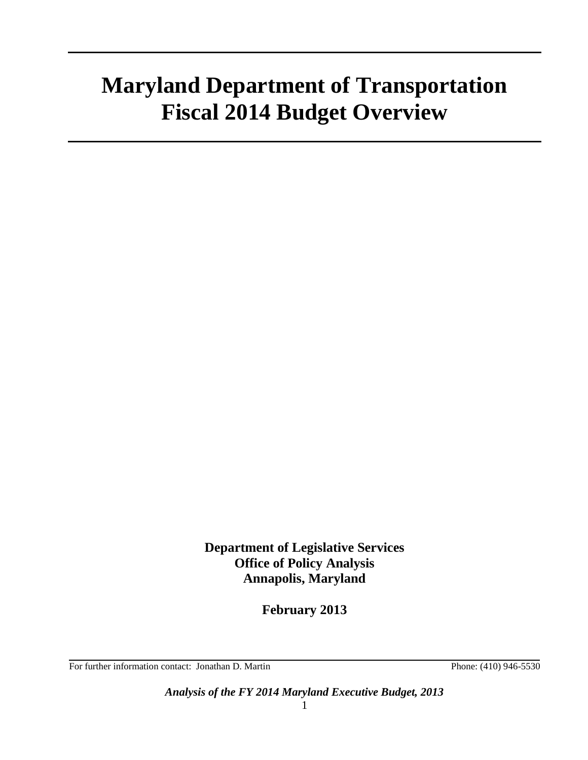# **Maryland Department of Transportation Fiscal 2014 Budget Overview**

**Department of Legislative Services Office of Policy Analysis Annapolis, Maryland**

**February 2013**

For further information contact: Jonathan D. Martin Phone: (410) 946-5530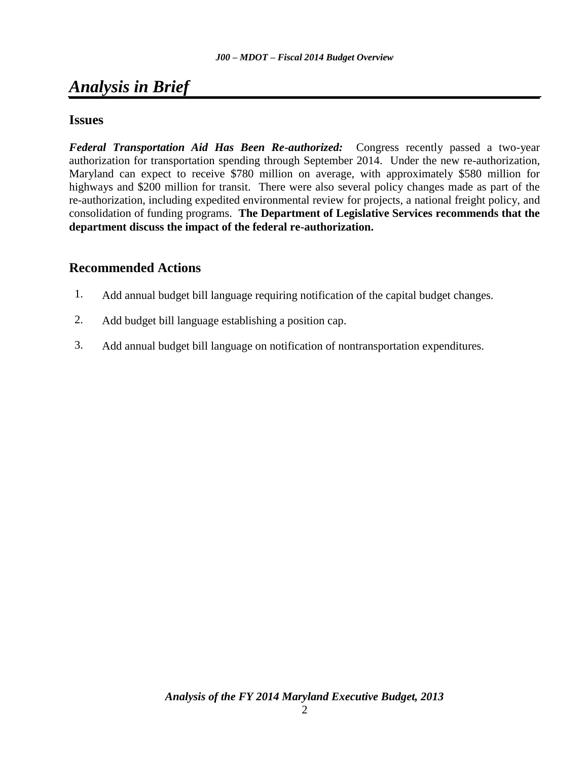## *Analysis in Brief*

## **Issues**

*Federal Transportation Aid Has Been Re-authorized:* Congress recently passed a two-year authorization for transportation spending through September 2014. Under the new re-authorization, Maryland can expect to receive \$780 million on average, with approximately \$580 million for highways and \$200 million for transit. There were also several policy changes made as part of the re-authorization, including expedited environmental review for projects, a national freight policy, and consolidation of funding programs. **The Department of Legislative Services recommends that the department discuss the impact of the federal re-authorization.**

## **[Recommended Actions](#page-22-0)**

- <span id="page-1-0"></span>1. Add annual budget bill language requiring notification of the capital budget changes.
- 2. Add budget bill language establishing a position cap.
- 3. Add annual budget bill language on notification of nontransportation expenditures.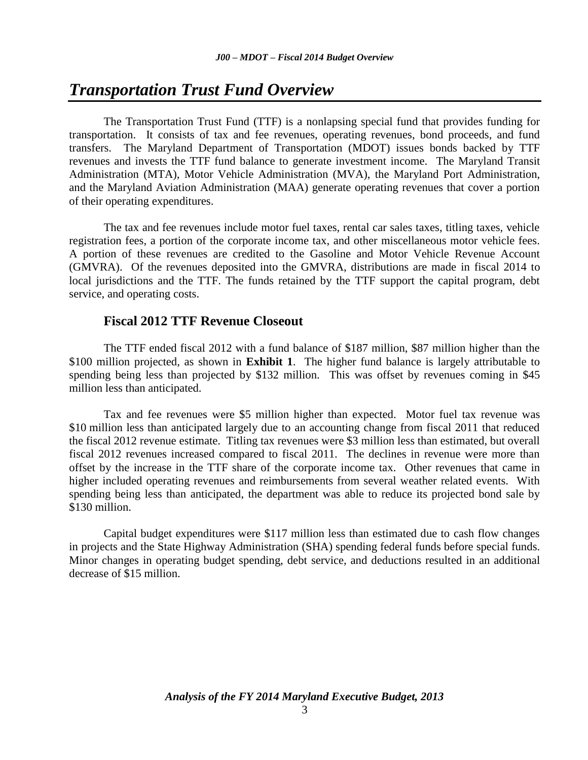## *Transportation Trust Fund Overview*

The Transportation Trust Fund (TTF) is a nonlapsing special fund that provides funding for transportation. It consists of tax and fee revenues, operating revenues, bond proceeds, and fund transfers. The Maryland Department of Transportation (MDOT) issues bonds backed by TTF revenues and invests the TTF fund balance to generate investment income. The Maryland Transit Administration (MTA), Motor Vehicle Administration (MVA), the Maryland Port Administration, and the Maryland Aviation Administration (MAA) generate operating revenues that cover a portion of their operating expenditures.

The tax and fee revenues include motor fuel taxes, rental car sales taxes, titling taxes, vehicle registration fees, a portion of the corporate income tax, and other miscellaneous motor vehicle fees. A portion of these revenues are credited to the Gasoline and Motor Vehicle Revenue Account (GMVRA). Of the revenues deposited into the GMVRA, distributions are made in fiscal 2014 to local jurisdictions and the TTF. The funds retained by the TTF support the capital program, debt service, and operating costs.

### **Fiscal 2012 TTF Revenue Closeout**

The TTF ended fiscal 2012 with a fund balance of \$187 million, \$87 million higher than the \$100 million projected, as shown in **Exhibit 1**. The higher fund balance is largely attributable to spending being less than projected by \$132 million. This was offset by revenues coming in \$45 million less than anticipated.

Tax and fee revenues were \$5 million higher than expected. Motor fuel tax revenue was \$10 million less than anticipated largely due to an accounting change from fiscal 2011 that reduced the fiscal 2012 revenue estimate. Titling tax revenues were \$3 million less than estimated, but overall fiscal 2012 revenues increased compared to fiscal 2011. The declines in revenue were more than offset by the increase in the TTF share of the corporate income tax. Other revenues that came in higher included operating revenues and reimbursements from several weather related events. With spending being less than anticipated, the department was able to reduce its projected bond sale by \$130 million.

Capital budget expenditures were \$117 million less than estimated due to cash flow changes in projects and the State Highway Administration (SHA) spending federal funds before special funds. Minor changes in operating budget spending, debt service, and deductions resulted in an additional decrease of \$15 million.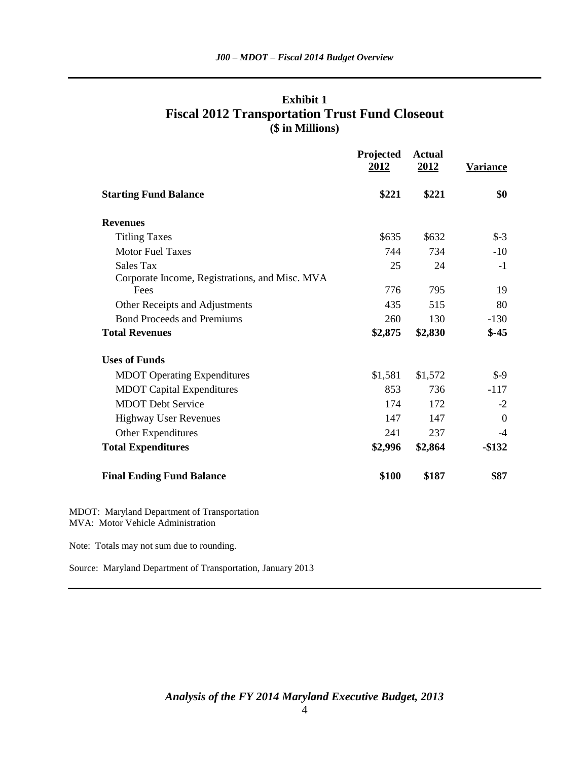|                                                                                  | Projected<br>2012 | <b>Actual</b><br>2012 | <b>Variance</b> |
|----------------------------------------------------------------------------------|-------------------|-----------------------|-----------------|
| <b>Starting Fund Balance</b>                                                     | \$221             | \$221                 | \$0             |
| <b>Revenues</b>                                                                  |                   |                       |                 |
| <b>Titling Taxes</b>                                                             | \$635             | \$632                 | $S-3$           |
| <b>Motor Fuel Taxes</b>                                                          | 744               | 734                   | $-10$           |
| <b>Sales Tax</b>                                                                 | 25                | 24                    | $-1$            |
| Corporate Income, Registrations, and Misc. MVA                                   |                   |                       |                 |
| Fees                                                                             | 776               | 795                   | 19              |
| Other Receipts and Adjustments                                                   | 435               | 515                   | 80              |
| <b>Bond Proceeds and Premiums</b>                                                | 260               | 130                   | $-130$          |
| <b>Total Revenues</b>                                                            | \$2,875           | \$2,830               | $$ -45$         |
| <b>Uses of Funds</b>                                                             |                   |                       |                 |
| <b>MDOT</b> Operating Expenditures                                               | \$1,581           | \$1,572               | $$ -9$          |
| <b>MDOT</b> Capital Expenditures                                                 | 853               | 736                   | $-117$          |
| <b>MDOT</b> Debt Service                                                         | 174               | 172                   | $-2$            |
| Highway User Revenues                                                            | 147               | 147                   | $\mathbf{0}$    |
| Other Expenditures                                                               | 241               | 237                   | $-4$            |
| <b>Total Expenditures</b>                                                        | \$2,996           | \$2,864               | $-$132$         |
| <b>Final Ending Fund Balance</b>                                                 | \$100             | \$187                 | \$87            |
| MDOT: Maryland Department of Transportation<br>MVA: Motor Vehicle Administration |                   |                       |                 |

## **Exhibit 1 Fiscal 2012 Transportation Trust Fund Closeout (\$ in Millions)**

Source: Maryland Department of Transportation, January 2013

Note: Totals may not sum due to rounding.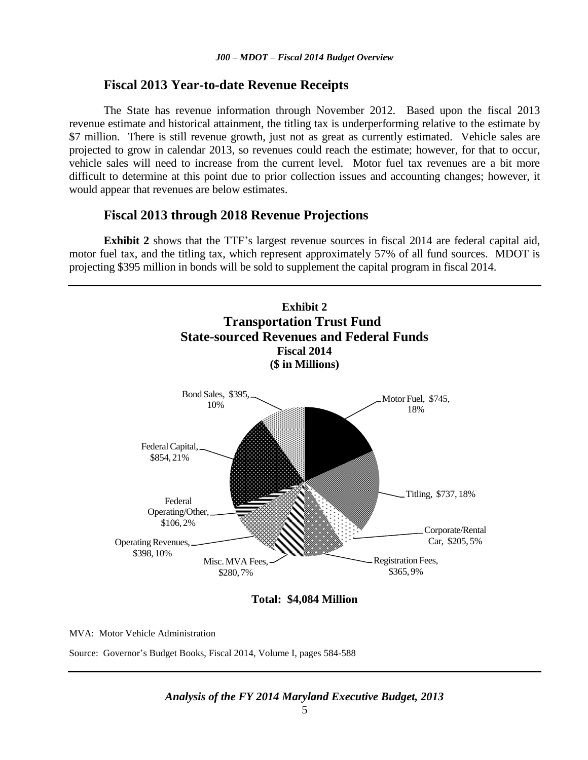#### **Fiscal 2013 Year-to-date Revenue Receipts**

The State has revenue information through November 2012. Based upon the fiscal 2013 revenue estimate and historical attainment, the titling tax is underperforming relative to the estimate by \$7 million. There is still revenue growth, just not as great as currently estimated. Vehicle sales are projected to grow in calendar 2013, so revenues could reach the estimate; however, for that to occur, vehicle sales will need to increase from the current level. Motor fuel tax revenues are a bit more difficult to determine at this point due to prior collection issues and accounting changes; however, it would appear that revenues are below estimates.

#### **Fiscal 2013 through 2018 Revenue Projections**

**Exhibit 2** shows that the TTF's largest revenue sources in fiscal 2014 are federal capital aid, motor fuel tax, and the titling tax, which represent approximately 57% of all fund sources. MDOT is projecting \$395 million in bonds will be sold to supplement the capital program in fiscal 2014.



**Total: \$4,084 Million**

MVA: Motor Vehicle Administration

Source: Governor's Budget Books, Fiscal 2014, Volume I, pages 584-588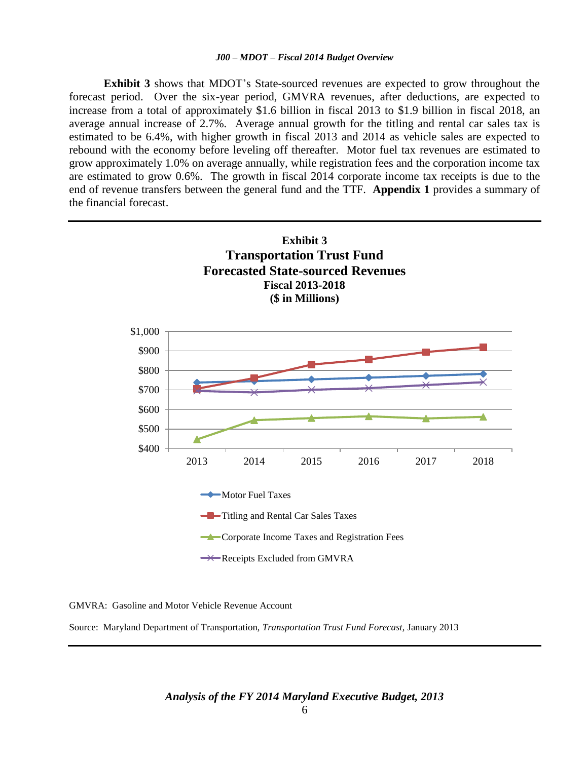**Exhibit 3** shows that MDOT's State-sourced revenues are expected to grow throughout the forecast period. Over the six-year period, GMVRA revenues, after deductions, are expected to increase from a total of approximately \$1.6 billion in fiscal 2013 to \$1.9 billion in fiscal 2018, an average annual increase of 2.7%. Average annual growth for the titling and rental car sales tax is estimated to be 6.4%, with higher growth in fiscal 2013 and 2014 as vehicle sales are expected to rebound with the economy before leveling off thereafter. Motor fuel tax revenues are estimated to grow approximately 1.0% on average annually, while registration fees and the corporation income tax are estimated to grow 0.6%. The growth in fiscal 2014 corporate income tax receipts is due to the end of revenue transfers between the general fund and the TTF. **Appendix 1** provides a summary of the financial forecast.



GMVRA: Gasoline and Motor Vehicle Revenue Account

Source: Maryland Department of Transportation, *Transportation Trust Fund Forecast*, January 2013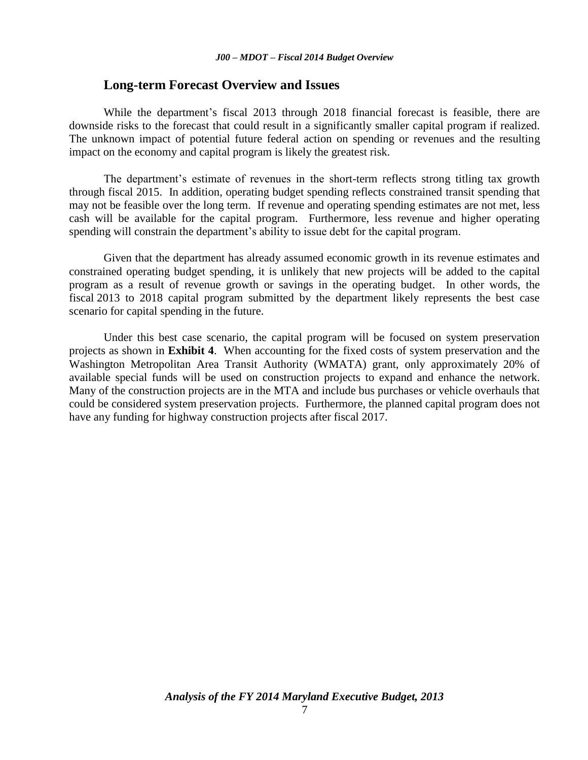#### **Long-term Forecast Overview and Issues**

While the department's fiscal 2013 through 2018 financial forecast is feasible, there are downside risks to the forecast that could result in a significantly smaller capital program if realized. The unknown impact of potential future federal action on spending or revenues and the resulting impact on the economy and capital program is likely the greatest risk.

The department's estimate of revenues in the short-term reflects strong titling tax growth through fiscal 2015. In addition, operating budget spending reflects constrained transit spending that may not be feasible over the long term. If revenue and operating spending estimates are not met, less cash will be available for the capital program. Furthermore, less revenue and higher operating spending will constrain the department's ability to issue debt for the capital program.

Given that the department has already assumed economic growth in its revenue estimates and constrained operating budget spending, it is unlikely that new projects will be added to the capital program as a result of revenue growth or savings in the operating budget. In other words, the fiscal 2013 to 2018 capital program submitted by the department likely represents the best case scenario for capital spending in the future.

Under this best case scenario, the capital program will be focused on system preservation projects as shown in **Exhibit 4**. When accounting for the fixed costs of system preservation and the Washington Metropolitan Area Transit Authority (WMATA) grant, only approximately 20% of available special funds will be used on construction projects to expand and enhance the network. Many of the construction projects are in the MTA and include bus purchases or vehicle overhauls that could be considered system preservation projects. Furthermore, the planned capital program does not have any funding for highway construction projects after fiscal 2017.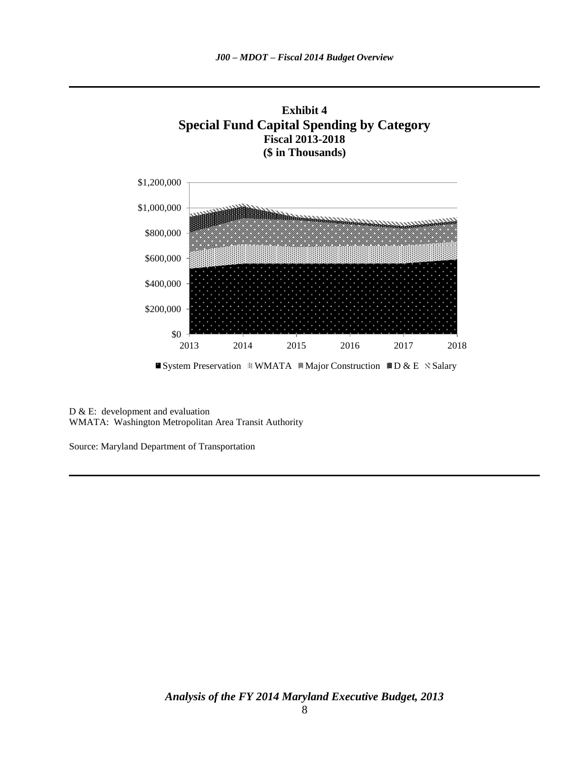

System Preservation WMATA WMajor Construction BD & E N Salary

D & E: development and evaluation WMATA: Washington Metropolitan Area Transit Authority

Source: Maryland Department of Transportation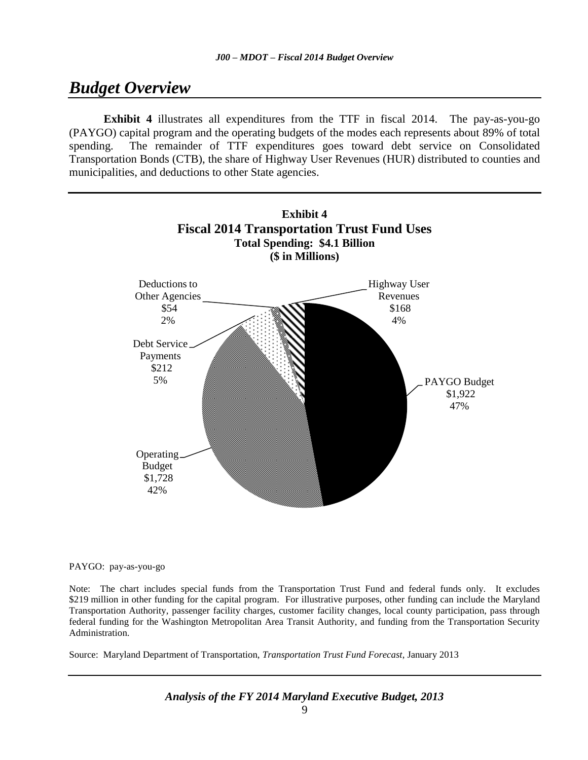## *Budget Overview*

**Exhibit 4** illustrates all expenditures from the TTF in fiscal 2014. The pay-as-you-go (PAYGO) capital program and the operating budgets of the modes each represents about 89% of total spending. The remainder of TTF expenditures goes toward debt service on Consolidated Transportation Bonds (CTB), the share of Highway User Revenues (HUR) distributed to counties and municipalities, and deductions to other State agencies.



PAYGO: pay-as-you-go

Note: The chart includes special funds from the Transportation Trust Fund and federal funds only. It excludes \$219 million in other funding for the capital program. For illustrative purposes, other funding can include the Maryland Transportation Authority, passenger facility charges, customer facility changes, local county participation, pass through federal funding for the Washington Metropolitan Area Transit Authority, and funding from the Transportation Security Administration.

Source: Maryland Department of Transportation, *Transportation Trust Fund Forecast*, January 2013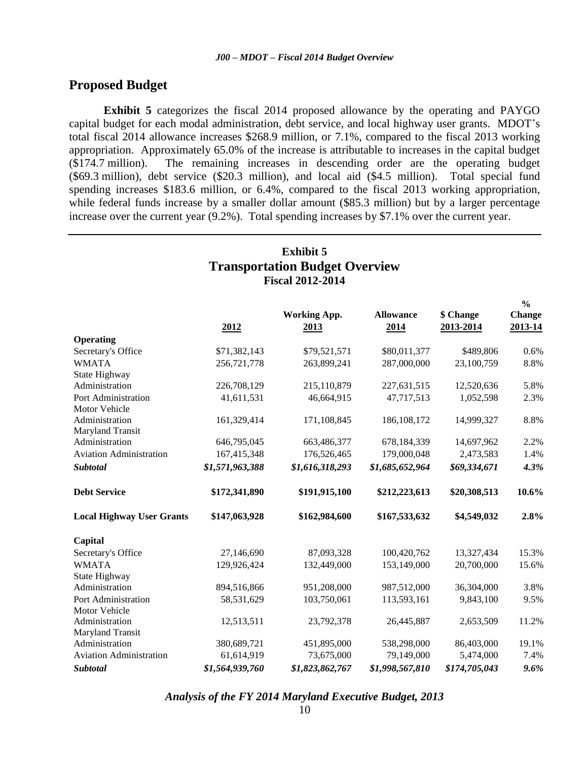### **Proposed Budget**

**Exhibit 5** categorizes the fiscal 2014 proposed allowance by the operating and PAYGO capital budget for each modal administration, debt service, and local highway user grants. MDOT's total fiscal 2014 allowance increases \$268.9 million, or 7.1%, compared to the fiscal 2013 working appropriation. Approximately 65.0% of the increase is attributable to increases in the capital budget (\$174.7 million). The remaining increases in descending order are the operating budget (\$69.3 million), debt service (\$20.3 million), and local aid (\$4.5 million). Total special fund spending increases \$183.6 million, or 6.4%, compared to the fiscal 2013 working appropriation, while federal funds increase by a smaller dollar amount (\$85.3 million) but by a larger percentage increase over the current year (9.2%). Total spending increases by \$7.1% over the current year.

| <b>Exhibit 5</b><br><b>Transportation Budget Overview</b><br><b>Fiscal 2012-2014</b> |                 |                             |                          |                        |                                           |  |
|--------------------------------------------------------------------------------------|-----------------|-----------------------------|--------------------------|------------------------|-------------------------------------------|--|
|                                                                                      | 2012            | <b>Working App.</b><br>2013 | <b>Allowance</b><br>2014 | \$ Change<br>2013-2014 | $\frac{0}{0}$<br><b>Change</b><br>2013-14 |  |
| <b>Operating</b>                                                                     |                 |                             |                          |                        |                                           |  |
| Secretary's Office                                                                   | \$71,382,143    | \$79,521,571                | \$80,011,377             | \$489,806              | 0.6%                                      |  |
| <b>WMATA</b>                                                                         | 256,721,778     | 263,899,241                 | 287,000,000              | 23,100,759             | 8.8%                                      |  |
| State Highway                                                                        |                 |                             |                          |                        |                                           |  |
| Administration                                                                       | 226,708,129     | 215,110,879                 | 227,631,515              | 12,520,636             | 5.8%                                      |  |
| Port Administration                                                                  | 41,611,531      | 46,664,915                  | 47,717,513               | 1,052,598              | 2.3%                                      |  |
| Motor Vehicle                                                                        |                 |                             |                          |                        |                                           |  |
| Administration                                                                       | 161,329,414     | 171,108,845                 | 186, 108, 172            | 14,999,327             | 8.8%                                      |  |
| Maryland Transit                                                                     |                 |                             |                          |                        |                                           |  |
| Administration                                                                       | 646,795,045     | 663,486,377                 | 678,184,339              | 14,697,962             | 2.2%                                      |  |
| <b>Aviation Administration</b>                                                       | 167,415,348     | 176,526,465                 | 179,000,048              | 2,473,583              | 1.4%                                      |  |
| <b>Subtotal</b>                                                                      | \$1,571,963,388 | \$1,616,318,293             | \$1,685,652,964          | \$69,334,671           | 4.3%                                      |  |
| <b>Debt Service</b>                                                                  | \$172,341,890   | \$191,915,100               | \$212,223,613            | \$20,308,513           | 10.6%                                     |  |
| <b>Local Highway User Grants</b>                                                     | \$147,063,928   | \$162,984,600               | \$167,533,632            | \$4,549,032            | 2.8%                                      |  |
| Capital                                                                              |                 |                             |                          |                        |                                           |  |
| Secretary's Office                                                                   | 27,146,690      | 87,093,328                  | 100,420,762              | 13,327,434             | 15.3%                                     |  |
| <b>WMATA</b>                                                                         | 129,926,424     | 132,449,000                 | 153,149,000              | 20,700,000             | 15.6%                                     |  |
| State Highway                                                                        |                 |                             |                          |                        |                                           |  |
| Administration                                                                       | 894,516,866     | 951,208,000                 | 987,512,000              | 36,304,000             | 3.8%                                      |  |
| Port Administration                                                                  | 58,531,629      | 103,750,061                 | 113,593,161              | 9,843,100              | 9.5%                                      |  |
| Motor Vehicle                                                                        |                 |                             |                          |                        |                                           |  |
| Administration                                                                       | 12,513,511      | 23,792,378                  | 26,445,887               | 2,653,509              | 11.2%                                     |  |
| Maryland Transit                                                                     |                 |                             |                          |                        |                                           |  |
| Administration                                                                       | 380,689,721     | 451,895,000                 | 538,298,000              | 86,403,000             | 19.1%                                     |  |
| <b>Aviation Administration</b>                                                       | 61,614,919      | 73,675,000                  | 79,149,000               | 5,474,000              | 7.4%                                      |  |
| Subtotal                                                                             | \$1,564,939,760 | \$1,823,862,767             | \$1,998,567,810          | \$174,705,043          | 9.6%                                      |  |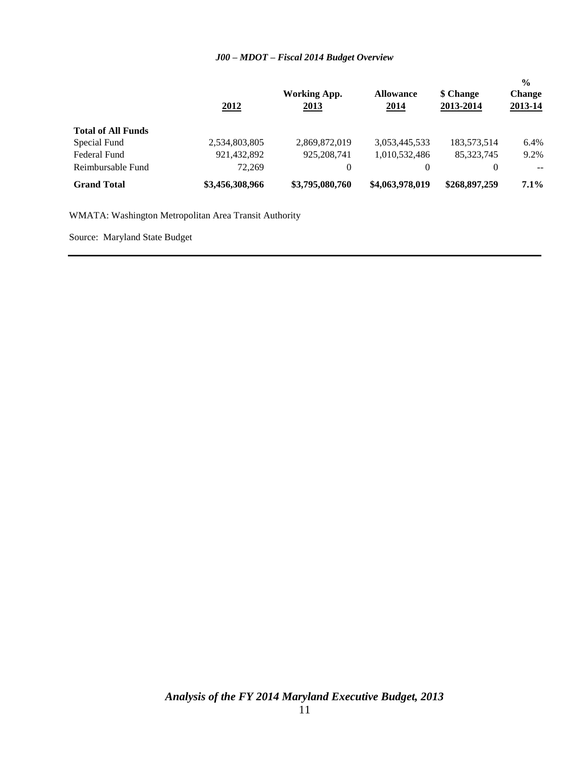#### *J00 – MDOT – Fiscal 2014 Budget Overview*

|                           | 2012            | Working App.<br>2013 | <b>Allowance</b><br><u>2014</u> | \$ Change<br>2013-2014 | $\frac{0}{0}$<br><b>Change</b><br>2013-14 |
|---------------------------|-----------------|----------------------|---------------------------------|------------------------|-------------------------------------------|
| <b>Total of All Funds</b> |                 |                      |                                 |                        |                                           |
| Special Fund              | 2,534,803,805   | 2,869,872,019        | 3,053,445,533                   | 183,573,514            | 6.4%                                      |
| Federal Fund              | 921,432,892     | 925, 208, 741        | 1,010,532,486                   | 85, 323, 745           | 9.2%                                      |
| Reimbursable Fund         | 72,269          | 0                    | $\theta$                        | 0                      | $- -$                                     |
| <b>Grand Total</b>        | \$3,456,308,966 | \$3,795,080,760      | \$4,063,978,019                 | \$268,897,259          | 7.1%                                      |

WMATA: Washington Metropolitan Area Transit Authority

Source: Maryland State Budget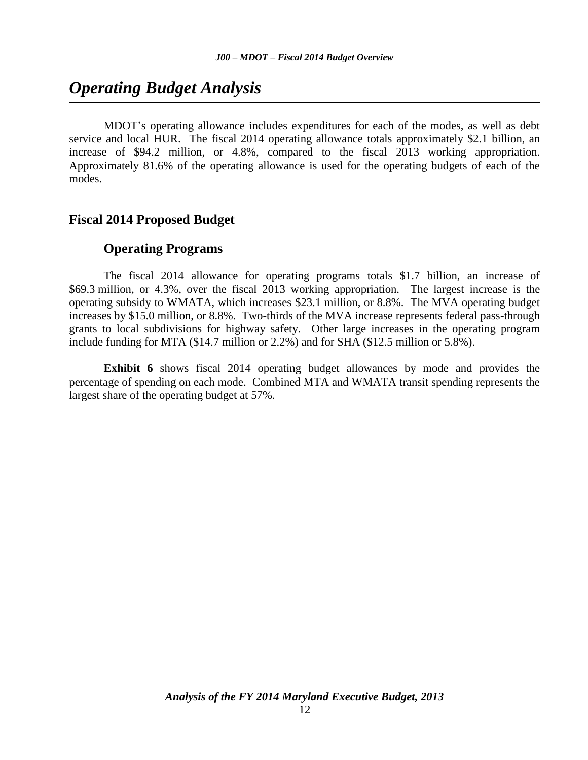## *Operating Budget Analysis*

MDOT's operating allowance includes expenditures for each of the modes, as well as debt service and local HUR. The fiscal 2014 operating allowance totals approximately \$2.1 billion, an increase of \$94.2 million, or 4.8%, compared to the fiscal 2013 working appropriation. Approximately 81.6% of the operating allowance is used for the operating budgets of each of the modes.

#### **Fiscal 2014 Proposed Budget**

#### **Operating Programs**

The fiscal 2014 allowance for operating programs totals \$1.7 billion, an increase of \$69.3 million, or 4.3%, over the fiscal 2013 working appropriation. The largest increase is the operating subsidy to WMATA, which increases \$23.1 million, or 8.8%. The MVA operating budget increases by \$15.0 million, or 8.8%. Two-thirds of the MVA increase represents federal pass-through grants to local subdivisions for highway safety. Other large increases in the operating program include funding for MTA (\$14.7 million or 2.2%) and for SHA (\$12.5 million or 5.8%).

**Exhibit 6** shows fiscal 2014 operating budget allowances by mode and provides the percentage of spending on each mode. Combined MTA and WMATA transit spending represents the largest share of the operating budget at 57%.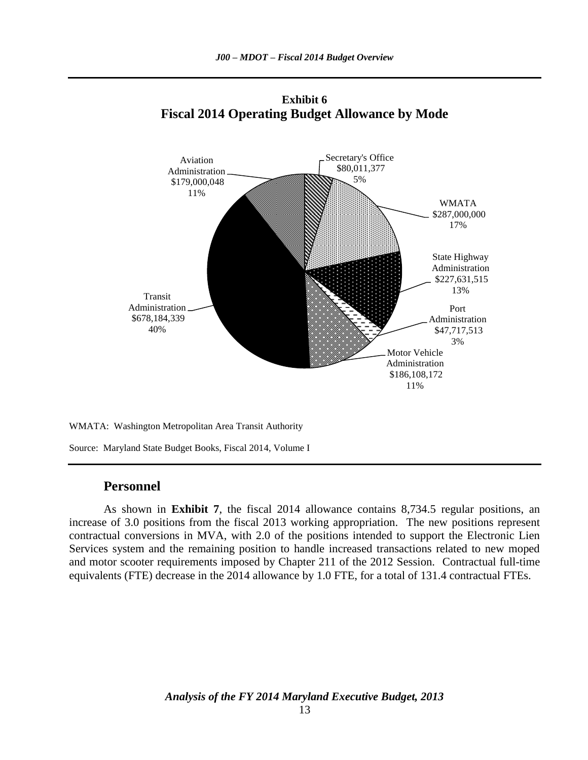

**Exhibit 6 Fiscal 2014 Operating Budget Allowance by Mode**

WMATA: Washington Metropolitan Area Transit Authority

Source: Maryland State Budget Books, Fiscal 2014, Volume I

#### **Personnel**

As shown in **Exhibit 7**, the fiscal 2014 allowance contains 8,734.5 regular positions, an increase of 3.0 positions from the fiscal 2013 working appropriation. The new positions represent contractual conversions in MVA, with 2.0 of the positions intended to support the Electronic Lien Services system and the remaining position to handle increased transactions related to new moped and motor scooter requirements imposed by Chapter 211 of the 2012 Session. Contractual full-time equivalents (FTE) decrease in the 2014 allowance by 1.0 FTE, for a total of 131.4 contractual FTEs.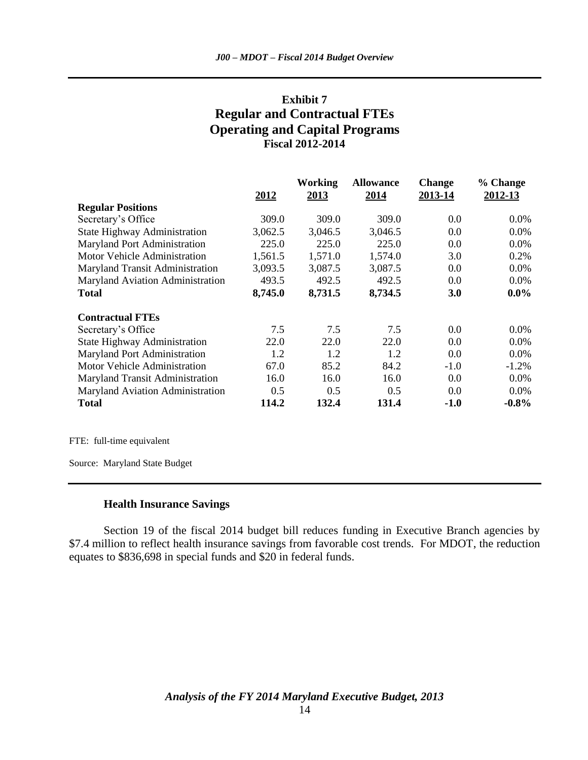## **Exhibit 7 Regular and Contractual FTEs Operating and Capital Programs Fiscal 2012-2014**

|                                     |         | <b>Working</b> | <b>Allowance</b> | <b>Change</b> | % Change |
|-------------------------------------|---------|----------------|------------------|---------------|----------|
|                                     | 2012    | 2013           | 2014             | 2013-14       | 2012-13  |
| <b>Regular Positions</b>            |         |                |                  |               |          |
| Secretary's Office                  | 309.0   | 309.0          | 309.0            | 0.0           | 0.0%     |
| <b>State Highway Administration</b> | 3,062.5 | 3,046.5        | 3,046.5          | 0.0           | 0.0%     |
| Maryland Port Administration        | 225.0   | 225.0          | 225.0            | 0.0           | 0.0%     |
| Motor Vehicle Administration        | 1,561.5 | 1,571.0        | 1,574.0          | 3.0           | 0.2%     |
| Maryland Transit Administration     | 3,093.5 | 3,087.5        | 3,087.5          | 0.0           | 0.0%     |
| Maryland Aviation Administration    | 493.5   | 492.5          | 492.5            | 0.0           | 0.0%     |
| <b>Total</b>                        | 8,745.0 | 8,731.5        | 8,734.5          | <b>3.0</b>    | $0.0\%$  |
| <b>Contractual FTEs</b>             |         |                |                  |               |          |
| Secretary's Office                  | 7.5     | 7.5            | 7.5              | 0.0           | 0.0%     |
| <b>State Highway Administration</b> | 22.0    | 22.0           | 22.0             | 0.0           | 0.0%     |
| Maryland Port Administration        | 1.2     | 1.2            | 1.2              | 0.0           | 0.0%     |
| Motor Vehicle Administration        | 67.0    | 85.2           | 84.2             | $-1.0$        | $-1.2%$  |
| Maryland Transit Administration     | 16.0    | 16.0           | 16.0             | 0.0           | 0.0%     |
| Maryland Aviation Administration    | 0.5     | 0.5            | 0.5              | 0.0           | 0.0%     |
| <b>Total</b>                        | 114.2   | 132.4          | 131.4            | $-1.0$        | $-0.8\%$ |

FTE: full-time equivalent

Source: Maryland State Budget

#### **Health Insurance Savings**

Section 19 of the fiscal 2014 budget bill reduces funding in Executive Branch agencies by \$7.4 million to reflect health insurance savings from favorable cost trends. For MDOT, the reduction equates to \$836,698 in special funds and \$20 in federal funds.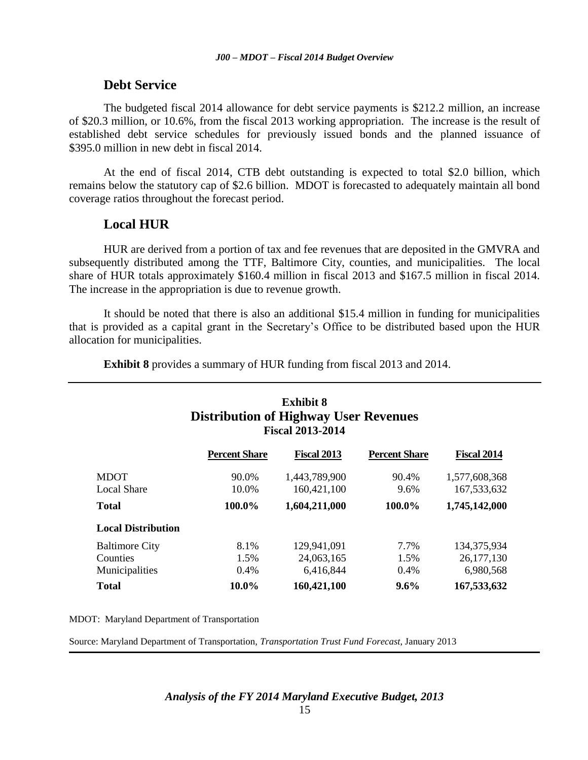### **Debt Service**

The budgeted fiscal 2014 allowance for debt service payments is \$212.2 million, an increase of \$20.3 million, or 10.6%, from the fiscal 2013 working appropriation. The increase is the result of established debt service schedules for previously issued bonds and the planned issuance of \$395.0 million in new debt in fiscal 2014.

At the end of fiscal 2014, CTB debt outstanding is expected to total \$2.0 billion, which remains below the statutory cap of \$2.6 billion. MDOT is forecasted to adequately maintain all bond coverage ratios throughout the forecast period.

## **Local HUR**

HUR are derived from a portion of tax and fee revenues that are deposited in the GMVRA and subsequently distributed among the TTF, Baltimore City, counties, and municipalities. The local share of HUR totals approximately \$160.4 million in fiscal 2013 and \$167.5 million in fiscal 2014. The increase in the appropriation is due to revenue growth.

It should be noted that there is also an additional \$15.4 million in funding for municipalities that is provided as a capital grant in the Secretary's Office to be distributed based upon the HUR allocation for municipalities.

**Exhibit 8** provides a summary of HUR funding from fiscal 2013 and 2014.

| <b>Exhibit 8</b><br><b>Distribution of Highway User Revenues</b><br><b>Fiscal 2013-2014</b> |                      |                    |                      |               |  |
|---------------------------------------------------------------------------------------------|----------------------|--------------------|----------------------|---------------|--|
|                                                                                             | <b>Percent Share</b> | <b>Fiscal 2013</b> | <b>Percent Share</b> | Fiscal 2014   |  |
| <b>MDOT</b>                                                                                 | 90.0%                | 1,443,789,900      | 90.4%                | 1,577,608,368 |  |
| <b>Local Share</b>                                                                          | 10.0%                | 160,421,100        | 9.6%                 | 167,533,632   |  |
| <b>Total</b>                                                                                | 100.0%               | 1,604,211,000      | 100.0%               | 1,745,142,000 |  |
| <b>Local Distribution</b>                                                                   |                      |                    |                      |               |  |

Baltimore City 8.1% 129,941,091 7.7% 134,375,934 Counties 1.5% 24,063,165 1.5% 26,177,130 Municipalities 0.4% 6,416,844 0.4% 6,980,568 **Total 10.0% 160,421,100 9.6% 167,533,632** 

MDOT: Maryland Department of Transportation

Source: Maryland Department of Transportation, *Transportation Trust Fund Forecast*, January 2013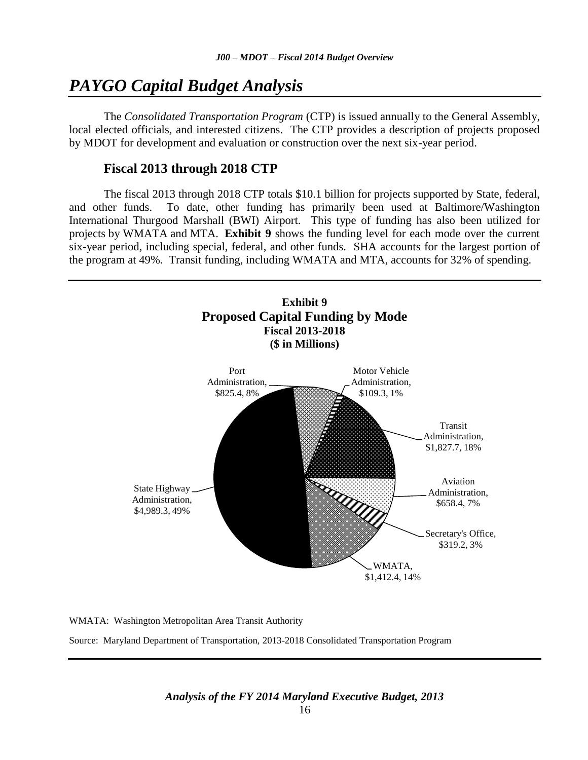## *PAYGO Capital Budget Analysis*

The *Consolidated Transportation Program* (CTP) is issued annually to the General Assembly, local elected officials, and interested citizens. The CTP provides a description of projects proposed by MDOT for development and evaluation or construction over the next six-year period.

## **Fiscal 2013 through 2018 CTP**

The fiscal 2013 through 2018 CTP totals \$10.1 billion for projects supported by State, federal, and other funds. To date, other funding has primarily been used at Baltimore/Washington International Thurgood Marshall (BWI) Airport. This type of funding has also been utilized for projects by WMATA and MTA. **Exhibit 9** shows the funding level for each mode over the current six-year period, including special, federal, and other funds. SHA accounts for the largest portion of the program at 49%. Transit funding, including WMATA and MTA, accounts for 32% of spending.



WMATA: Washington Metropolitan Area Transit Authority

Source: Maryland Department of Transportation, 2013-2018 Consolidated Transportation Program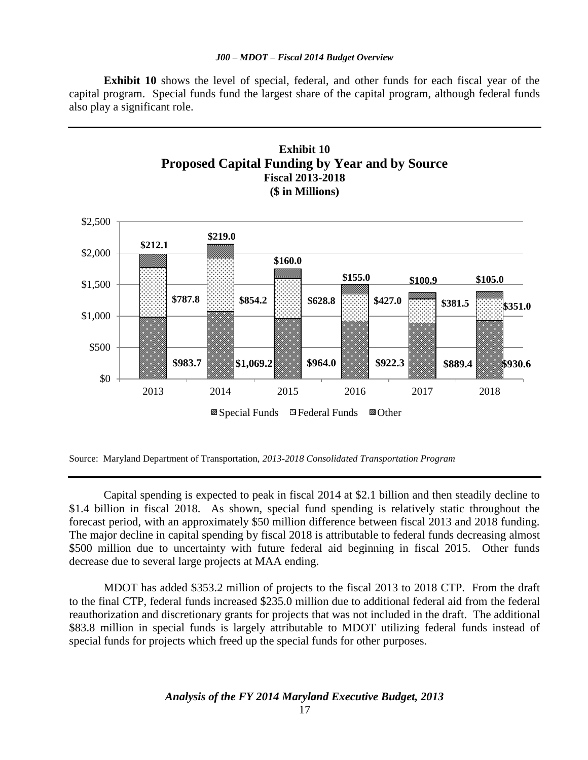#### *J00 – MDOT – Fiscal 2014 Budget Overview*

**Exhibit 10** shows the level of special, federal, and other funds for each fiscal year of the capital program. Special funds fund the largest share of the capital program, although federal funds also play a significant role.





Capital spending is expected to peak in fiscal 2014 at \$2.1 billion and then steadily decline to \$1.4 billion in fiscal 2018. As shown, special fund spending is relatively static throughout the forecast period, with an approximately \$50 million difference between fiscal 2013 and 2018 funding. The major decline in capital spending by fiscal 2018 is attributable to federal funds decreasing almost \$500 million due to uncertainty with future federal aid beginning in fiscal 2015. Other funds decrease due to several large projects at MAA ending.

MDOT has added \$353.2 million of projects to the fiscal 2013 to 2018 CTP. From the draft to the final CTP, federal funds increased \$235.0 million due to additional federal aid from the federal reauthorization and discretionary grants for projects that was not included in the draft. The additional \$83.8 million in special funds is largely attributable to MDOT utilizing federal funds instead of special funds for projects which freed up the special funds for other purposes.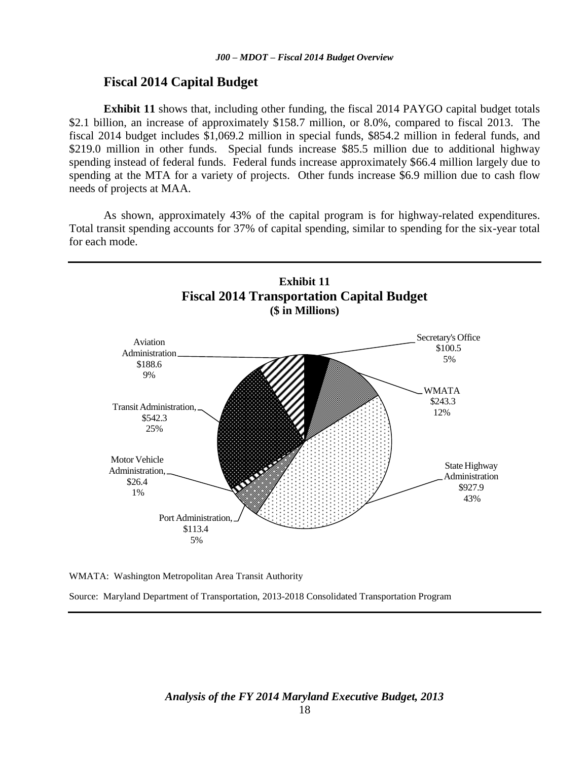#### **Fiscal 2014 Capital Budget**

**Exhibit 11** shows that, including other funding, the fiscal 2014 PAYGO capital budget totals \$2.1 billion, an increase of approximately \$158.7 million, or 8.0%, compared to fiscal 2013. The fiscal 2014 budget includes \$1,069.2 million in special funds, \$854.2 million in federal funds, and \$219.0 million in other funds. Special funds increase \$85.5 million due to additional highway spending instead of federal funds. Federal funds increase approximately \$66.4 million largely due to spending at the MTA for a variety of projects. Other funds increase \$6.9 million due to cash flow needs of projects at MAA.

As shown, approximately 43% of the capital program is for highway-related expenditures. Total transit spending accounts for 37% of capital spending, similar to spending for the six-year total for each mode.





Source: Maryland Department of Transportation, 2013-2018 Consolidated Transportation Program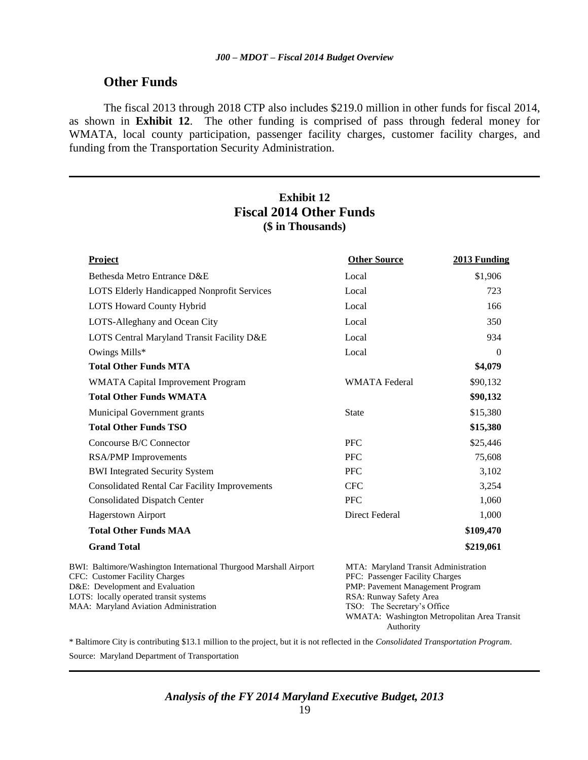## **Other Funds**

The fiscal 2013 through 2018 CTP also includes \$219.0 million in other funds for fiscal 2014, as shown in **Exhibit 12**. The other funding is comprised of pass through federal money for WMATA, local county participation, passenger facility charges, customer facility charges, and funding from the Transportation Security Administration.

## **Exhibit 12 Fiscal 2014 Other Funds (\$ in Thousands)**

| Project                                                                                                                                                                                                                          | <b>Other Source</b>                                                                                                                                                                                                               | 2013 Funding |
|----------------------------------------------------------------------------------------------------------------------------------------------------------------------------------------------------------------------------------|-----------------------------------------------------------------------------------------------------------------------------------------------------------------------------------------------------------------------------------|--------------|
| Bethesda Metro Entrance D&E                                                                                                                                                                                                      | Local                                                                                                                                                                                                                             | \$1,906      |
| <b>LOTS Elderly Handicapped Nonprofit Services</b>                                                                                                                                                                               | Local                                                                                                                                                                                                                             | 723          |
| LOTS Howard County Hybrid                                                                                                                                                                                                        | Local                                                                                                                                                                                                                             | 166          |
| LOTS-Alleghany and Ocean City                                                                                                                                                                                                    | Local                                                                                                                                                                                                                             | 350          |
| LOTS Central Maryland Transit Facility D&E                                                                                                                                                                                       | Local                                                                                                                                                                                                                             | 934          |
| Owings Mills*                                                                                                                                                                                                                    | Local                                                                                                                                                                                                                             | $\Omega$     |
| <b>Total Other Funds MTA</b>                                                                                                                                                                                                     |                                                                                                                                                                                                                                   | \$4,079      |
| WMATA Capital Improvement Program                                                                                                                                                                                                | <b>WMATA</b> Federal                                                                                                                                                                                                              | \$90,132     |
| <b>Total Other Funds WMATA</b>                                                                                                                                                                                                   |                                                                                                                                                                                                                                   | \$90,132     |
| Municipal Government grants                                                                                                                                                                                                      | <b>State</b>                                                                                                                                                                                                                      | \$15,380     |
| <b>Total Other Funds TSO</b>                                                                                                                                                                                                     |                                                                                                                                                                                                                                   | \$15,380     |
| Concourse B/C Connector                                                                                                                                                                                                          | <b>PFC</b>                                                                                                                                                                                                                        | \$25,446     |
| <b>RSA/PMP</b> Improvements                                                                                                                                                                                                      | <b>PFC</b>                                                                                                                                                                                                                        | 75,608       |
| <b>BWI</b> Integrated Security System                                                                                                                                                                                            | <b>PFC</b>                                                                                                                                                                                                                        | 3,102        |
| <b>Consolidated Rental Car Facility Improvements</b>                                                                                                                                                                             | <b>CFC</b>                                                                                                                                                                                                                        | 3,254        |
| <b>Consolidated Dispatch Center</b>                                                                                                                                                                                              | <b>PFC</b>                                                                                                                                                                                                                        | 1,060        |
| <b>Hagerstown Airport</b>                                                                                                                                                                                                        | Direct Federal                                                                                                                                                                                                                    | 1,000        |
| <b>Total Other Funds MAA</b>                                                                                                                                                                                                     |                                                                                                                                                                                                                                   | \$109,470    |
| <b>Grand Total</b>                                                                                                                                                                                                               |                                                                                                                                                                                                                                   | \$219,061    |
| BWI: Baltimore/Washington International Thurgood Marshall Airport<br><b>CFC: Customer Facility Charges</b><br>D&E: Development and Evaluation<br>LOTS: locally operated transit systems<br>MAA: Maryland Aviation Administration | MTA: Maryland Transit Administration<br>PFC: Passenger Facility Charges<br>PMP: Pavement Management Program<br>RSA: Runway Safety Area<br>TSO: The Secretary's Office<br>WMATA: Washington Metropolitan Area Transit<br>Authority |              |

\* Baltimore City is contributing \$13.1 million to the project, but it is not reflected in the *Consolidated Transportation Program*. Source: Maryland Department of Transportation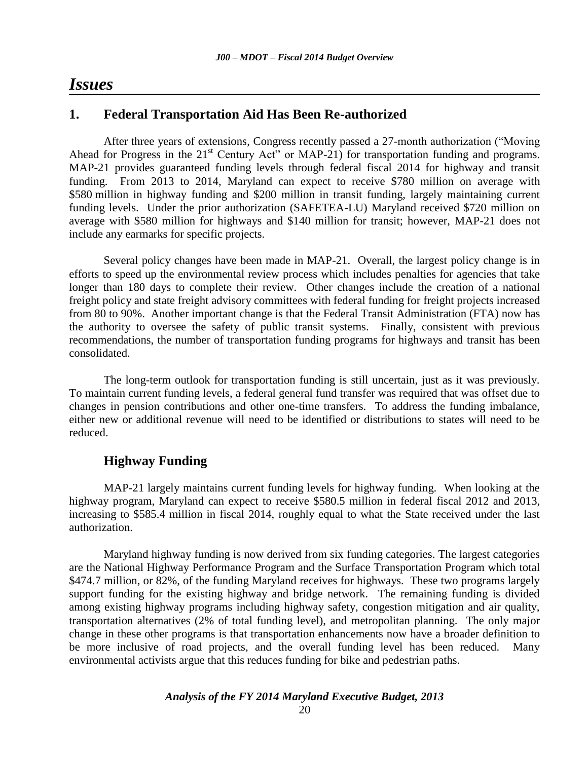## *Issues*

## **1. Federal Transportation Aid Has Been Re-authorized**

After three years of extensions, Congress recently passed a 27-month authorization ("Moving Ahead for Progress in the  $21<sup>st</sup>$  Century Act" or MAP-21) for transportation funding and programs. MAP-21 provides guaranteed funding levels through federal fiscal 2014 for highway and transit funding. From 2013 to 2014, Maryland can expect to receive \$780 million on average with \$580 million in highway funding and \$200 million in transit funding, largely maintaining current funding levels. Under the prior authorization (SAFETEA-LU) Maryland received \$720 million on average with \$580 million for highways and \$140 million for transit; however, MAP-21 does not include any earmarks for specific projects.

Several policy changes have been made in MAP-21. Overall, the largest policy change is in efforts to speed up the environmental review process which includes penalties for agencies that take longer than 180 days to complete their review. Other changes include the creation of a national freight policy and state freight advisory committees with federal funding for freight projects increased from 80 to 90%. Another important change is that the Federal Transit Administration (FTA) now has the authority to oversee the safety of public transit systems. Finally, consistent with previous recommendations, the number of transportation funding programs for highways and transit has been consolidated.

The long-term outlook for transportation funding is still uncertain, just as it was previously. To maintain current funding levels, a federal general fund transfer was required that was offset due to changes in pension contributions and other one-time transfers. To address the funding imbalance, either new or additional revenue will need to be identified or distributions to states will need to be reduced.

## **Highway Funding**

MAP-21 largely maintains current funding levels for highway funding. When looking at the highway program, Maryland can expect to receive \$580.5 million in federal fiscal 2012 and 2013, increasing to \$585.4 million in fiscal 2014, roughly equal to what the State received under the last authorization.

Maryland highway funding is now derived from six funding categories. The largest categories are the National Highway Performance Program and the Surface Transportation Program which total \$474.7 million, or 82%, of the funding Maryland receives for highways. These two programs largely support funding for the existing highway and bridge network. The remaining funding is divided among existing highway programs including highway safety, congestion mitigation and air quality, transportation alternatives (2% of total funding level), and metropolitan planning. The only major change in these other programs is that transportation enhancements now have a broader definition to be more inclusive of road projects, and the overall funding level has been reduced. Many environmental activists argue that this reduces funding for bike and pedestrian paths.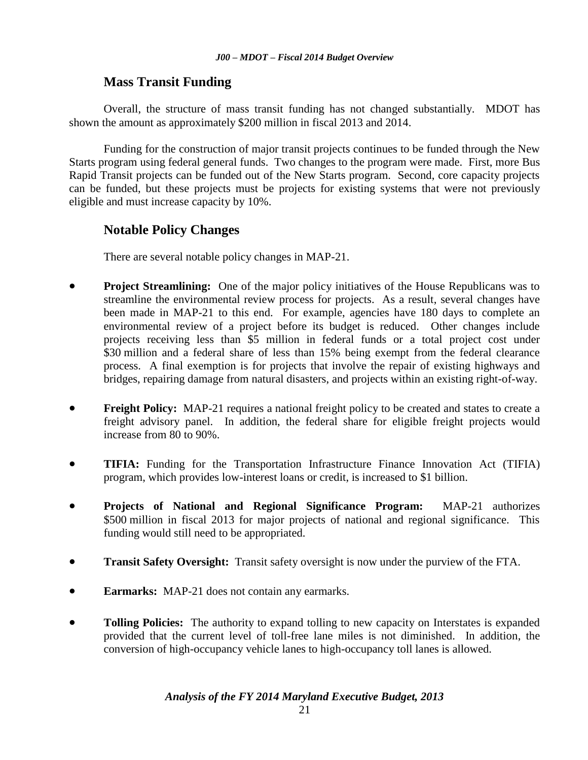## **Mass Transit Funding**

Overall, the structure of mass transit funding has not changed substantially. MDOT has shown the amount as approximately \$200 million in fiscal 2013 and 2014.

Funding for the construction of major transit projects continues to be funded through the New Starts program using federal general funds. Two changes to the program were made. First, more Bus Rapid Transit projects can be funded out of the New Starts program. Second, core capacity projects can be funded, but these projects must be projects for existing systems that were not previously eligible and must increase capacity by 10%.

## **Notable Policy Changes**

There are several notable policy changes in MAP-21.

- **Project Streamlining:** One of the major policy initiatives of the House Republicans was to streamline the environmental review process for projects. As a result, several changes have been made in MAP-21 to this end. For example, agencies have 180 days to complete an environmental review of a project before its budget is reduced. Other changes include projects receiving less than \$5 million in federal funds or a total project cost under \$30 million and a federal share of less than 15% being exempt from the federal clearance process. A final exemption is for projects that involve the repair of existing highways and bridges, repairing damage from natural disasters, and projects within an existing right-of-way.
- **Freight Policy:** MAP-21 requires a national freight policy to be created and states to create a freight advisory panel. In addition, the federal share for eligible freight projects would increase from 80 to 90%.
- **TIFIA:** Funding for the Transportation Infrastructure Finance Innovation Act (TIFIA) program, which provides low-interest loans or credit, is increased to \$1 billion.
- **Projects of National and Regional Significance Program:** MAP-21 authorizes \$500 million in fiscal 2013 for major projects of national and regional significance. This funding would still need to be appropriated.
- **Transit Safety Oversight:** Transit safety oversight is now under the purview of the FTA.
- **Earmarks:** MAP-21 does not contain any earmarks.
- **Tolling Policies:** The authority to expand tolling to new capacity on Interstates is expanded provided that the current level of toll-free lane miles is not diminished. In addition, the conversion of high-occupancy vehicle lanes to high-occupancy toll lanes is allowed.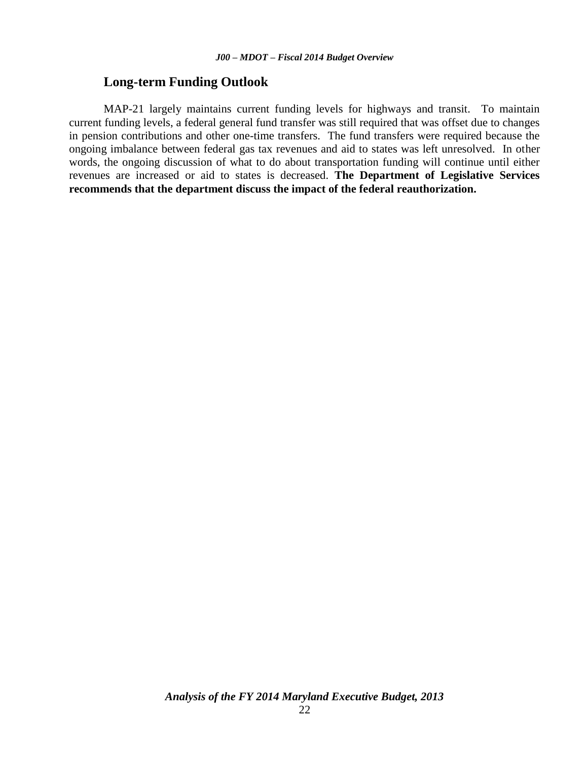## **Long-term Funding Outlook**

MAP-21 largely maintains current funding levels for highways and transit. To maintain current funding levels, a federal general fund transfer was still required that was offset due to changes in pension contributions and other one-time transfers. The fund transfers were required because the ongoing imbalance between federal gas tax revenues and aid to states was left unresolved. In other words, the ongoing discussion of what to do about transportation funding will continue until either revenues are increased or aid to states is decreased. **The Department of Legislative Services recommends that the department discuss the impact of the federal reauthorization.**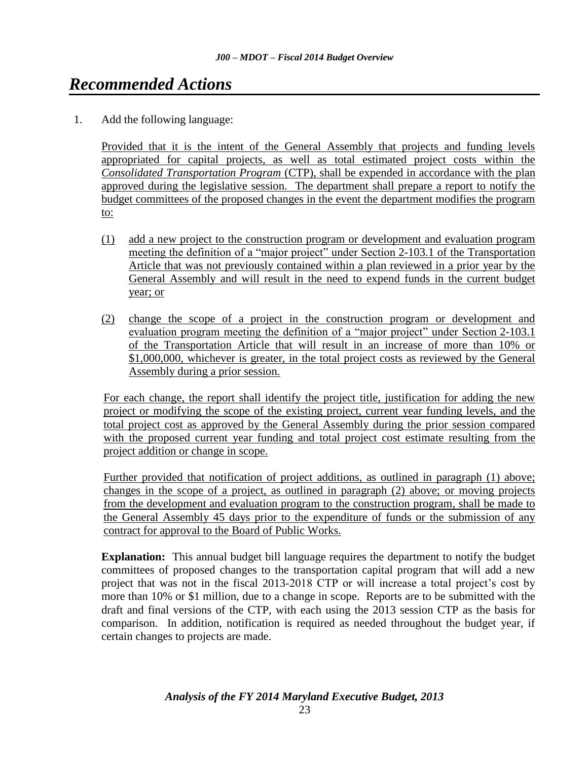## <span id="page-22-0"></span>*[Recommended Actions](#page-1-0)*

1. Add the following language:

Provided that it is the intent of the General Assembly that projects and funding levels appropriated for capital projects, as well as total estimated project costs within the *Consolidated Transportation Program* (CTP), shall be expended in accordance with the plan approved during the legislative session. The department shall prepare a report to notify the budget committees of the proposed changes in the event the department modifies the program to:

- (1) add a new project to the construction program or development and evaluation program meeting the definition of a "major project" under Section 2-103.1 of the Transportation Article that was not previously contained within a plan reviewed in a prior year by the General Assembly and will result in the need to expend funds in the current budget year; or
- (2) change the scope of a project in the construction program or development and evaluation program meeting the definition of a "major project" under Section 2-103.1 of the Transportation Article that will result in an increase of more than 10% or \$1,000,000, whichever is greater, in the total project costs as reviewed by the General Assembly during a prior session.

For each change, the report shall identify the project title, justification for adding the new project or modifying the scope of the existing project, current year funding levels, and the total project cost as approved by the General Assembly during the prior session compared with the proposed current year funding and total project cost estimate resulting from the project addition or change in scope.

Further provided that notification of project additions, as outlined in paragraph (1) above; changes in the scope of a project, as outlined in paragraph (2) above; or moving projects from the development and evaluation program to the construction program, shall be made to the General Assembly 45 days prior to the expenditure of funds or the submission of any contract for approval to the Board of Public Works.

**Explanation:** This annual budget bill language requires the department to notify the budget committees of proposed changes to the transportation capital program that will add a new project that was not in the fiscal 2013-2018 CTP or will increase a total project's cost by more than 10% or \$1 million, due to a change in scope. Reports are to be submitted with the draft and final versions of the CTP, with each using the 2013 session CTP as the basis for comparison. In addition, notification is required as needed throughout the budget year, if certain changes to projects are made.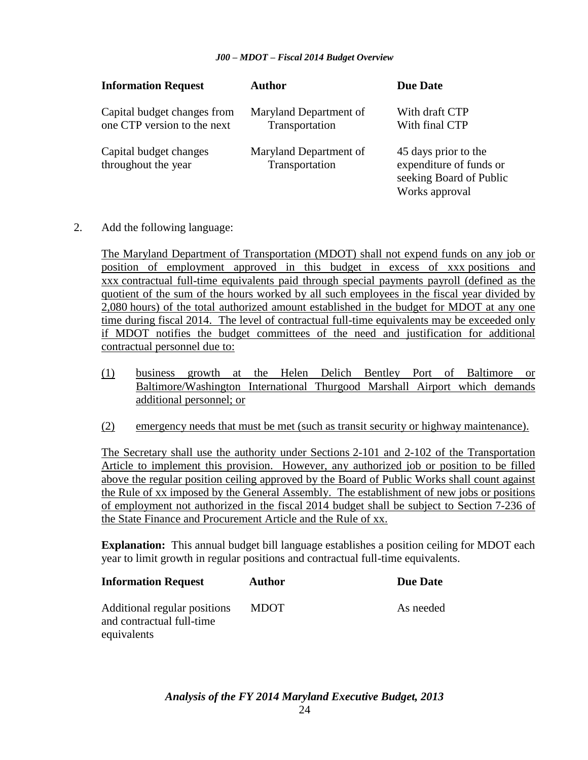#### *J00 – MDOT – Fiscal 2014 Budget Overview*

| <b>Information Request</b>                                 | Author                                   | <b>Due Date</b>                                                                              |
|------------------------------------------------------------|------------------------------------------|----------------------------------------------------------------------------------------------|
| Capital budget changes from<br>one CTP version to the next | Maryland Department of<br>Transportation | With draft CTP<br>With final CTP                                                             |
| Capital budget changes<br>throughout the year              | Maryland Department of<br>Transportation | 45 days prior to the<br>expenditure of funds or<br>seeking Board of Public<br>Works approval |

2. Add the following language:

The Maryland Department of Transportation (MDOT) shall not expend funds on any job or position of employment approved in this budget in excess of xxx positions and xxx contractual full-time equivalents paid through special payments payroll (defined as the quotient of the sum of the hours worked by all such employees in the fiscal year divided by 2,080 hours) of the total authorized amount established in the budget for MDOT at any one time during fiscal 2014. The level of contractual full-time equivalents may be exceeded only if MDOT notifies the budget committees of the need and justification for additional contractual personnel due to:

- (1) business growth at the Helen Delich Bentley Port of Baltimore or Baltimore/Washington International Thurgood Marshall Airport which demands additional personnel; or
- (2) emergency needs that must be met (such as transit security or highway maintenance).

The Secretary shall use the authority under Sections 2-101 and 2-102 of the Transportation Article to implement this provision. However, any authorized job or position to be filled above the regular position ceiling approved by the Board of Public Works shall count against the Rule of xx imposed by the General Assembly. The establishment of new jobs or positions of employment not authorized in the fiscal 2014 budget shall be subject to Section 7-236 of the State Finance and Procurement Article and the Rule of xx.

**Explanation:** This annual budget bill language establishes a position ceiling for MDOT each year to limit growth in regular positions and contractual full-time equivalents.

| <b>Information Request</b>                                               | Author      | <b>Due Date</b> |
|--------------------------------------------------------------------------|-------------|-----------------|
| Additional regular positions<br>and contractual full-time<br>equivalents | <b>MDOT</b> | As needed       |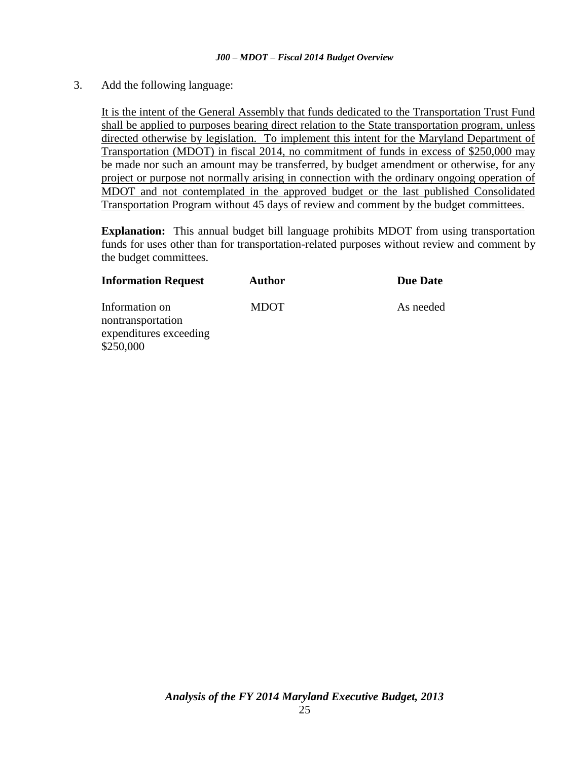3. Add the following language:

It is the intent of the General Assembly that funds dedicated to the Transportation Trust Fund shall be applied to purposes bearing direct relation to the State transportation program, unless directed otherwise by legislation. To implement this intent for the Maryland Department of Transportation (MDOT) in fiscal 2014, no commitment of funds in excess of \$250,000 may be made nor such an amount may be transferred, by budget amendment or otherwise, for any project or purpose not normally arising in connection with the ordinary ongoing operation of MDOT and not contemplated in the approved budget or the last published Consolidated Transportation Program without 45 days of review and comment by the budget committees.

**Explanation:** This annual budget bill language prohibits MDOT from using transportation funds for uses other than for transportation-related purposes without review and comment by the budget committees.

| <b>Information Request</b>                                                 | <b>Author</b> | <b>Due Date</b> |
|----------------------------------------------------------------------------|---------------|-----------------|
| Information on<br>nontransportation<br>expenditures exceeding<br>\$250,000 | <b>MDOT</b>   | As needed       |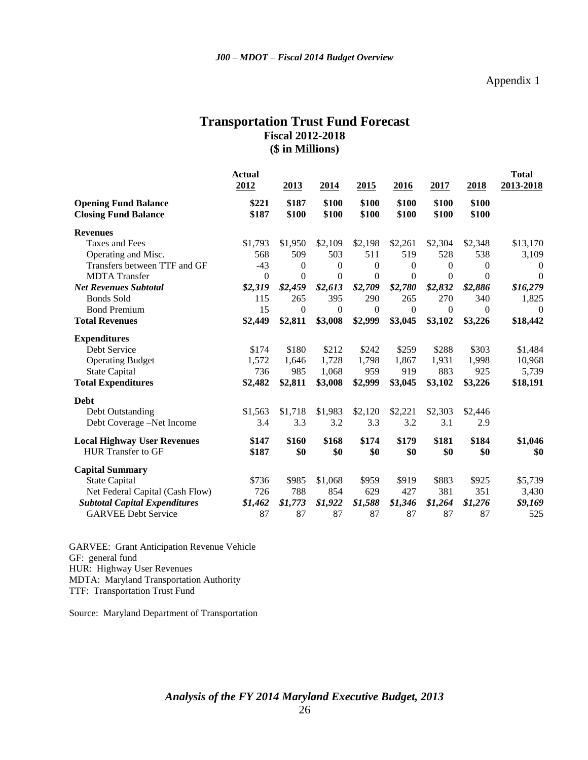## **Transportation Trust Fund Forecast Fiscal 2012-2018 (\$ in Millions)**

|                                                            | <b>Actual</b><br>2012 | 2013             | 2014             | 2015           | 2016             | 2017             | 2018             | <b>Total</b><br>2013-2018 |
|------------------------------------------------------------|-----------------------|------------------|------------------|----------------|------------------|------------------|------------------|---------------------------|
| <b>Opening Fund Balance</b><br><b>Closing Fund Balance</b> | \$221<br>\$187        | \$187<br>\$100   | \$100<br>\$100   | \$100<br>\$100 | \$100<br>\$100   | \$100<br>\$100   | \$100<br>\$100   |                           |
| <b>Revenues</b>                                            |                       |                  |                  |                |                  |                  |                  |                           |
| Taxes and Fees                                             | \$1,793               | \$1,950          | \$2,109          | \$2,198        | \$2,261          | \$2,304          | \$2,348          | \$13,170                  |
| Operating and Misc.                                        | 568                   | 509              | 503              | 511            | 519              | 528              | 538              | 3,109                     |
| Transfers between TTF and GF                               | $-43$                 | $\Omega$         | $\theta$         | $\overline{0}$ | 0                | $\theta$         | $\theta$         | $\boldsymbol{0}$          |
| <b>MDTA</b> Transfer                                       | $\boldsymbol{0}$      | $\boldsymbol{0}$ | $\overline{0}$   | $\overline{0}$ | $\theta$         | $\theta$         | $\mathbf{0}$     | $\overline{0}$            |
| <b>Net Revenues Subtotal</b>                               | \$2,319               | \$2,459          | \$2,613          | \$2,709        | \$2,780          | \$2,832          | \$2,886          | \$16,279                  |
| <b>Bonds Sold</b>                                          | 115                   | 265              | 395              | 290            | 265              | 270              | 340              | 1,825                     |
| <b>Bond Premium</b>                                        | 15                    | $\boldsymbol{0}$ | $\boldsymbol{0}$ | $\overline{0}$ | $\boldsymbol{0}$ | $\boldsymbol{0}$ | $\boldsymbol{0}$ | $\boldsymbol{0}$          |
| <b>Total Revenues</b>                                      | \$2,449               | \$2,811          | \$3,008          | \$2,999        | \$3,045          | \$3,102          | \$3,226          | \$18,442                  |
| <b>Expenditures</b>                                        |                       |                  |                  |                |                  |                  |                  |                           |
| Debt Service                                               | \$174                 | \$180            | \$212            | \$242          | \$259            | \$288            | \$303            | \$1,484                   |
| <b>Operating Budget</b>                                    | 1,572                 | 1,646            | 1,728            | 1,798          | 1,867            | 1,931            | 1,998            | 10,968                    |
| <b>State Capital</b>                                       | 736                   | 985              | 1,068            | 959            | 919              | 883              | 925              | 5,739                     |
| <b>Total Expenditures</b>                                  | \$2,482               | \$2,811          | \$3,008          | \$2,999        | \$3,045          | \$3,102          | \$3,226          | \$18,191                  |
| <b>Debt</b>                                                |                       |                  |                  |                |                  |                  |                  |                           |
| Debt Outstanding                                           | \$1,563               | \$1,718          | \$1,983          | \$2,120        | \$2,221          | \$2,303          | \$2,446          |                           |
| Debt Coverage -Net Income                                  | 3.4                   | 3.3              | 3.2              | 3.3            | 3.2              | 3.1              | 2.9              |                           |
| <b>Local Highway User Revenues</b>                         | \$147                 | \$160            | \$168            | \$174          | \$179            | \$181            | \$184            | \$1,046                   |
| <b>HUR Transfer to GF</b>                                  | \$187                 | \$0              | \$0              | \$0            | \$0              | \$0              | \$0              | \$0                       |
| <b>Capital Summary</b>                                     |                       |                  |                  |                |                  |                  |                  |                           |
| <b>State Capital</b>                                       | \$736                 | \$985            | \$1,068          | \$959          | \$919            | \$883            | \$925            | \$5,739                   |
| Net Federal Capital (Cash Flow)                            | 726                   | 788              | 854              | 629            | 427              | 381              | 351              | 3,430                     |
| <b>Subtotal Capital Expenditures</b>                       | \$1,462               | \$1,773          | \$1,922          | \$1,588        | \$1,346          | \$1,264          | \$1,276          | \$9,169                   |
| <b>GARVEE Debt Service</b>                                 | 87                    | 87               | 87               | 87             | 87               | 87               | 87               | 525                       |

GARVEE: Grant Anticipation Revenue Vehicle GF: general fund HUR: Highway User Revenues MDTA: Maryland Transportation Authority TTF: Transportation Trust Fund

Source: Maryland Department of Transportation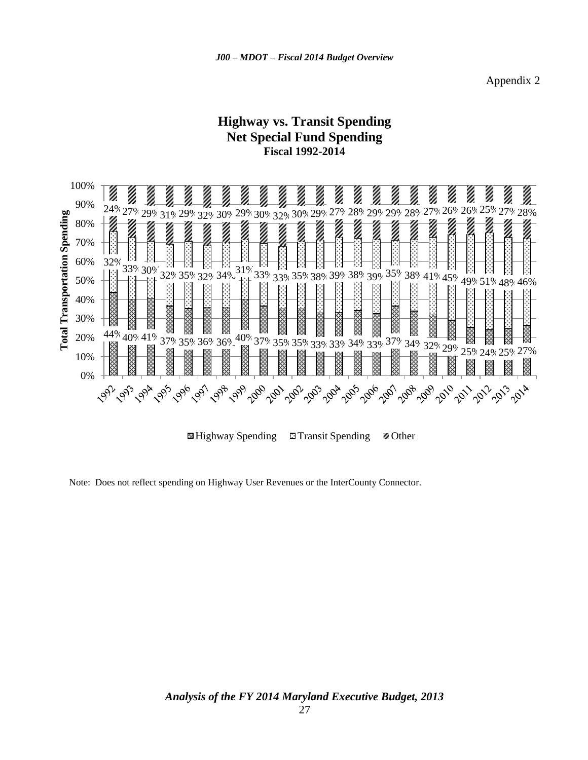## **Highway vs. Transit Spending Net Special Fund Spending Fiscal 1992-2014**



**E**Highway Spending Eleransit Spending **Z** Other

Note: Does not reflect spending on Highway User Revenues or the InterCounty Connector.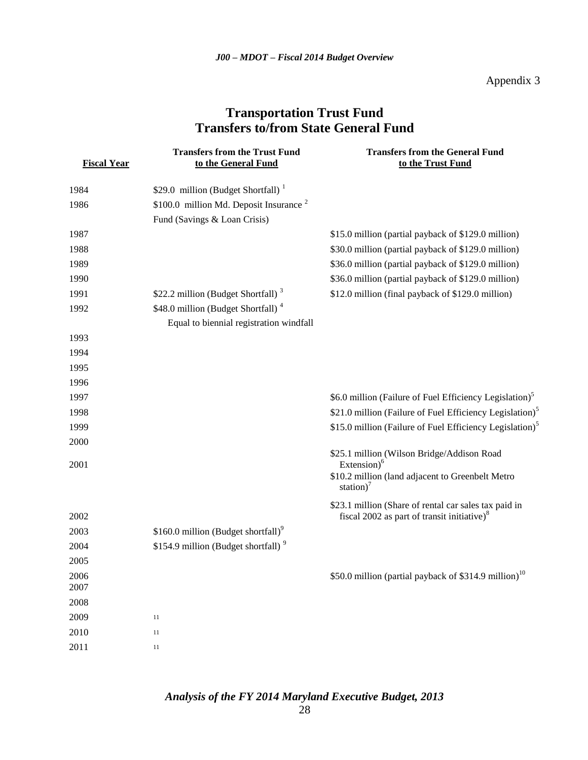Appendix 3

## **Transportation Trust Fund Transfers to/from State General Fund**

| <b>Fiscal Year</b> | <b>Transfers from the Trust Fund</b><br>to the General Fund | <b>Transfers from the General Fund</b><br>to the Trust Fund                                             |
|--------------------|-------------------------------------------------------------|---------------------------------------------------------------------------------------------------------|
| 1984               | \$29.0 million (Budget Shortfall) $1$                       |                                                                                                         |
| 1986               | \$100.0 million Md. Deposit Insurance $2$                   |                                                                                                         |
|                    | Fund (Savings & Loan Crisis)                                |                                                                                                         |
| 1987               |                                                             | \$15.0 million (partial payback of \$129.0 million)                                                     |
| 1988               |                                                             | \$30.0 million (partial payback of \$129.0 million)                                                     |
| 1989               |                                                             | \$36.0 million (partial payback of \$129.0 million)                                                     |
| 1990               |                                                             | \$36.0 million (partial payback of \$129.0 million)                                                     |
| 1991               | \$22.2 million (Budget Shortfall) <sup>3</sup>              | \$12.0 million (final payback of \$129.0 million)                                                       |
| 1992               | \$48.0 million (Budget Shortfall) <sup>4</sup>              |                                                                                                         |
|                    | Equal to biennial registration windfall                     |                                                                                                         |
| 1993               |                                                             |                                                                                                         |
| 1994               |                                                             |                                                                                                         |
| 1995               |                                                             |                                                                                                         |
| 1996               |                                                             |                                                                                                         |
| 1997               |                                                             | \$6.0 million (Failure of Fuel Efficiency Legislation) <sup>5</sup>                                     |
| 1998               |                                                             | \$21.0 million (Failure of Fuel Efficiency Legislation) <sup>5</sup>                                    |
| 1999               |                                                             | \$15.0 million (Failure of Fuel Efficiency Legislation) <sup>5</sup>                                    |
| 2000               |                                                             |                                                                                                         |
| 2001               |                                                             | \$25.1 million (Wilson Bridge/Addison Road<br>Extension) $6$                                            |
|                    |                                                             | \$10.2 million (land adjacent to Greenbelt Metro<br>station) <sup>7</sup>                               |
| 2002               |                                                             | \$23.1 million (Share of rental car sales tax paid in<br>fiscal 2002 as part of transit initiative) $8$ |
| 2003               | \$160.0 million (Budget shortfall) <sup>9</sup>             |                                                                                                         |
| 2004               | \$154.9 million (Budget shortfall) <sup>9</sup>             |                                                                                                         |
| 2005               |                                                             |                                                                                                         |
| 2006               |                                                             | \$50.0 million (partial payback of \$314.9 million) <sup>10</sup>                                       |
| 2007               |                                                             |                                                                                                         |
| 2008               |                                                             |                                                                                                         |
| 2009               | 11                                                          |                                                                                                         |
| 2010               | $11\,$                                                      |                                                                                                         |
| 2011               | $11\,$                                                      |                                                                                                         |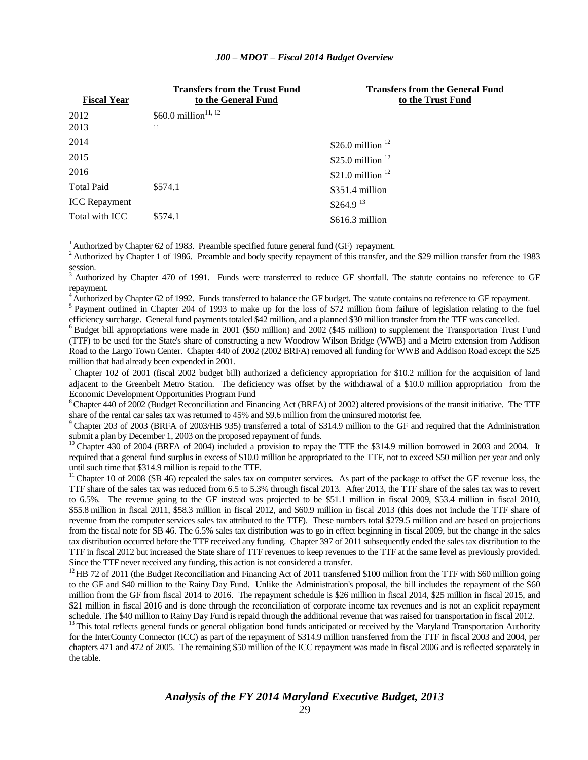#### *J00 – MDOT – Fiscal 2014 Budget Overview*

| <b>Fiscal Year</b>   | <b>Transfers from the Trust Fund</b><br>to the General Fund | <b>Transfers from the General Fund</b><br>to the Trust Fund |
|----------------------|-------------------------------------------------------------|-------------------------------------------------------------|
| 2012                 | \$60.0 million <sup>11, 12</sup>                            |                                                             |
| 2013                 | 11                                                          |                                                             |
| 2014                 |                                                             | \$26.0 million $12$                                         |
| 2015                 |                                                             | \$25.0 million $12$                                         |
| 2016                 |                                                             | \$21.0 million $12$                                         |
| <b>Total Paid</b>    | \$574.1                                                     | $$351.4$ million                                            |
| <b>ICC</b> Repayment |                                                             | $$264.9$ <sup>13</sup>                                      |
| Total with ICC       | \$574.1                                                     | $$616.3$ million                                            |

<sup>1</sup>Authorized by Chapter 62 of 1983. Preamble specified future general fund (GF) repayment.

<sup>2</sup> Authorized by Chapter 1 of 1986. Preamble and body specify repayment of this transfer, and the \$29 million transfer from the 1983 session.

<sup>3</sup> Authorized by Chapter 470 of 1991. Funds were transferred to reduce GF shortfall. The statute contains no reference to GF repayment.

<sup>4</sup>Authorized by Chapter 62 of 1992. Funds transferred to balance the GF budget. The statute contains no reference to GF repayment.

<sup>5</sup> Payment outlined in Chapter 204 of 1993 to make up for the loss of \$72 million from failure of legislation relating to the fuel efficiency surcharge. General fund payments totaled \$42 million, and a planned \$30 million transfer from the TTF was cancelled.

 $6$  Budget bill appropriations were made in 2001 (\$50 million) and 2002 (\$45 million) to supplement the Transportation Trust Fund (TTF) to be used for the State's share of constructing a new Woodrow Wilson Bridge (WWB) and a Metro extension from Addison Road to the Largo Town Center. Chapter 440 of 2002 (2002 BRFA) removed all funding for WWB and Addison Road except the \$25 million that had already been expended in 2001.

<sup>7</sup> Chapter 102 of 2001 (fiscal 2002 budget bill) authorized a deficiency appropriation for \$10.2 million for the acquisition of land adjacent to the Greenbelt Metro Station. The deficiency was offset by the withdrawal of a \$10.0 million appropriation from the Economic Development Opportunities Program Fund

 $8$ Chapter 440 of 2002 (Budget Reconciliation and Financing Act (BRFA) of 2002) altered provisions of the transit initiative. The TTF share of the rental car sales tax was returned to 45% and \$9.6 million from the uninsured motorist fee.

<sup>9</sup> Chapter 203 of 2003 (BRFA of 2003/HB 935) transferred a total of \$314.9 million to the GF and required that the Administration submit a plan by December 1, 2003 on the proposed repayment of funds.

 $10$  Chapter 430 of 2004 (BRFA of 2004) included a provision to repay the TTF the \$314.9 million borrowed in 2003 and 2004. It required that a general fund surplus in excess of \$10.0 million be appropriated to the TTF, not to exceed \$50 million per year and only until such time that \$314.9 million is repaid to the TTF.

<sup>11</sup> Chapter 10 of 2008 (SB 46) repealed the sales tax on computer services. As part of the package to offset the GF revenue loss, the TTF share of the sales tax was reduced from 6.5 to 5.3% through fiscal 2013. After 2013, the TTF share of the sales tax was to revert to 6.5%. The revenue going to the GF instead was projected to be \$51.1 million in fiscal 2009, \$53.4 million in fiscal 2010, \$55.8 million in fiscal 2011, \$58.3 million in fiscal 2012, and \$60.9 million in fiscal 2013 (this does not include the TTF share of revenue from the computer services sales tax attributed to the TTF). These numbers total \$279.5 million and are based on projections from the fiscal note for SB 46. The 6.5% sales tax distribution was to go in effect beginning in fiscal 2009, but the change in the sales tax distribution occurred before the TTF received any funding. Chapter 397 of 2011 subsequently ended the sales tax distribution to the TTF in fiscal 2012 but increased the State share of TTF revenues to keep revenues to the TTF at the same level as previously provided. Since the TTF never received any funding, this action is not considered a transfer.

 $12$  HB 72 of 2011 (the Budget Reconciliation and Financing Act of 2011 transferred \$100 million from the TTF with \$60 million going to the GF and \$40 million to the Rainy Day Fund. Unlike the Administration's proposal, the bill includes the repayment of the \$60 million from the GF from fiscal 2014 to 2016. The repayment schedule is \$26 million in fiscal 2014, \$25 million in fiscal 2015, and \$21 million in fiscal 2016 and is done through the reconciliation of corporate income tax revenues and is not an explicit repayment schedule. The \$40 million to Rainy Day Fund is repaid through the additional revenue that was raised for transportation in fiscal 2012.

<sup>13</sup> This total reflects general funds or general obligation bond funds anticipated or received by the Maryland Transportation Authority for the InterCounty Connector (ICC) as part of the repayment of \$314.9 million transferred from the TTF in fiscal 2003 and 2004, per chapters 471 and 472 of 2005. The remaining \$50 million of the ICC repayment was made in fiscal 2006 and is reflected separately in the table.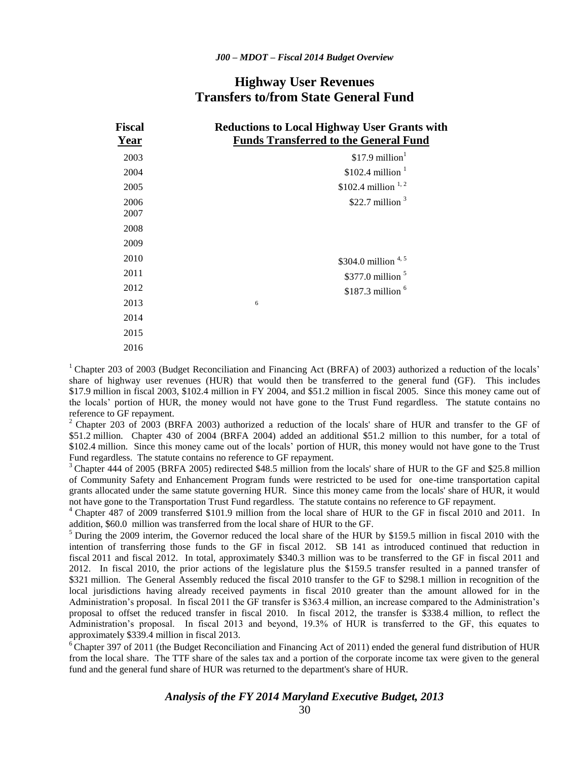## **Highway User Revenues Transfers to/from State General Fund**

| <b>Fiscal</b> | <b>Reductions to Local Highway User Grants with</b> |
|---------------|-----------------------------------------------------|
| Year          | <b>Funds Transferred to the General Fund</b>        |
| 2003          | \$17.9 million $1$                                  |
| 2004          | $$102.4$ million <sup>1</sup>                       |
| 2005          | \$102.4 million $^{1,2}$                            |
| 2006          | \$22.7 million $3$                                  |
| 2007          |                                                     |
| 2008          |                                                     |
| 2009          |                                                     |
| 2010          | \$304.0 million $4,5$                               |
| 2011          | $$377.0$ million $$5$                               |
| 2012          | $$187.3$ million $6$                                |
| 2013          | 6                                                   |
| 2014          |                                                     |
| 2015          |                                                     |
| 2016          |                                                     |

<sup>1</sup> Chapter 203 of 2003 (Budget Reconciliation and Financing Act (BRFA) of 2003) authorized a reduction of the locals' share of highway user revenues (HUR) that would then be transferred to the general fund (GF). This includes \$17.9 million in fiscal 2003, \$102.4 million in FY 2004, and \$51.2 million in fiscal 2005. Since this money came out of the locals' portion of HUR, the money would not have gone to the Trust Fund regardless. The statute contains no reference to GF repayment.

 $^2$  Chapter 203 of 2003 (BRFA 2003) authorized a reduction of the locals' share of HUR and transfer to the GF of \$51.2 million. Chapter 430 of 2004 (BRFA 2004) added an additional \$51.2 million to this number, for a total of \$102.4 million. Since this money came out of the locals' portion of HUR, this money would not have gone to the Trust Fund regardless. The statute contains no reference to GF repayment.

<sup>3</sup> Chapter 444 of 2005 (BRFA 2005) redirected \$48.5 million from the locals' share of HUR to the GF and \$25.8 million of Community Safety and Enhancement Program funds were restricted to be used for one-time transportation capital grants allocated under the same statute governing HUR. Since this money came from the locals' share of HUR, it would not have gone to the Transportation Trust Fund regardless. The statute contains no reference to GF repayment.

<sup>4</sup>Chapter 487 of 2009 transferred \$101.9 million from the local share of HUR to the GF in fiscal 2010 and 2011. In addition, \$60.0 million was transferred from the local share of HUR to the GF.

<sup>5</sup> During the 2009 interim, the Governor reduced the local share of the HUR by \$159.5 million in fiscal 2010 with the intention of transferring those funds to the GF in fiscal 2012. SB 141 as introduced continued that reduction in fiscal 2011 and fiscal 2012. In total, approximately \$340.3 million was to be transferred to the GF in fiscal 2011 and 2012. In fiscal 2010, the prior actions of the legislature plus the \$159.5 transfer resulted in a panned transfer of \$321 million. The General Assembly reduced the fiscal 2010 transfer to the GF to \$298.1 million in recognition of the local jurisdictions having already received payments in fiscal 2010 greater than the amount allowed for in the Administration's proposal. In fiscal 2011 the GF transfer is \$363.4 million, an increase compared to the Administration's proposal to offset the reduced transfer in fiscal 2010. In fiscal 2012, the transfer is \$338.4 million, to reflect the Administration's proposal. In fiscal 2013 and beyond, 19.3% of HUR is transferred to the GF, this equates to approximately \$339.4 million in fiscal 2013.

 $6$  Chapter 397 of 2011 (the Budget Reconciliation and Financing Act of 2011) ended the general fund distribution of HUR from the local share. The TTF share of the sales tax and a portion of the corporate income tax were given to the general fund and the general fund share of HUR was returned to the department's share of HUR.